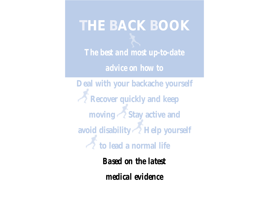# **THE BACK BOOK**

*The best and most up-to-date*

*advice on how to*

**Deal with your backache yourself Recover quickly and keep moving Stay active and avoid disability Help yourself to lead a normal life**

> *Based on the latest medical evidence*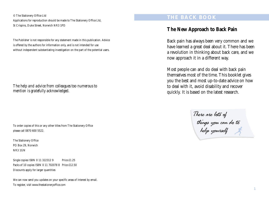© The Stationery Office Ltd Applications for reproduction should be made to The Stationery Office Ltd, St Crispins, Duke Street, Norwich NR3 1PD

The Publisher is not responsible for any statement made in this publication. Advice is offered by the authors for information only, and is not intended for use without independent substantiating investigation on the part of the potential users.

*The help and advice from colleagues too numerous to mention is gratefully acknowledged.*

To order copies of this or any other titles from The Stationery Office please call 0870 600 5522.

The Stationery Office PO Box 29, Norwich NR3 1GN

Single copies ISBN 0 11 322312 9 Price £1.25 Packs of 10 copies ISBN 0 11 702078 8 Price £12.50 Discounts apply for larger quantities

We can now send you updates on your specific areas of interest by email. To register, visit www.thestationeryoffice.com

## **THE BACK BOOK**

# **The New Approach to Back Pain**

Back pain has always been very common and we have learned a great deal about it. There has been a revolution in thinking about back care, and we now approach it in a different way.

Most people can and do deal with back pain themselves most of the time. This booklet gives you the best and most up-to-date advice on how to deal with it, avoid disability and recover quickly. It is based on the latest research.

There are lots of things you can do to help yourself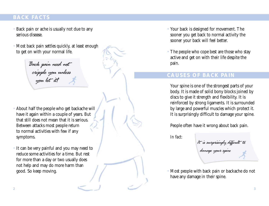# **BACK FACTS**

- Back pain or ache is usually not due to any serious disease.
- Most back pain settles quickly, at least enough to get on with your normal life.

Back pain need not cripple you unless you let it!

• About half the people who get backache will have it again within a couple of years. But that still does not mean that it is serious. Between attacks most people return to normal activities with few if any symptoms.

• It can be very painful and you may need to reduce some activities for a time. But rest for more than a day or two usually does not help and may do more harm than good. So keep moving.

- Your back is designed for movement. The sooner you get back to normal activity the sooner your back will feel better.
- The people who cope best are those who stay active and get on with their life despite the pain.

# **CAUSES OF BACK PAIN**

Your spine is one of the strongest parts of your body. It is made of solid bony blocks joined by discs to give it strength and flexibility. It is reinforced by strong ligaments. It is surrounded by large and powerful muscles which protect it. It is surprisingly difficult to damage your spine.

People often have it wrong about back pain.

*In fact:*

It is surprisingly difficult to damage your spine

• Most people with back pain or backache do not have any damage in their spine.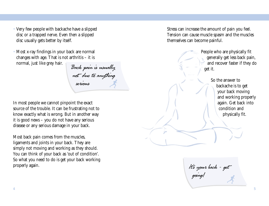- Very few people with backache have a slipped disc or a trapped nerve. Even then a slipped disc usually gets better by itself.
- Most x-ray findings in your back are normal changes with age. That is not arthritis – it is normal, just like grey hair.

Back pain is usually not due to anything serious

In most people we cannot pinpoint the exact source of the trouble. It can be frustrating not to know exactly what is wrong. But in another way it is good news – you do not have any serious disease or any serious damage in your back.

Most back pain comes from the muscles, ligaments and joints in your back. They are simply not moving and working as they should. You can think of your back as 'out of condition'. So what you need to do is get your back working properly again.

Stress can increase the amount of pain you feel. Tension can cause muscle spasm and the muscles themselves can become painful.

> People who are physically fit generally get less back pain, and recover faster if they do get it.

> > So the answer to backache is to get your back moving and working properly again. Get back into condition and physically fit.

It's your back - get going!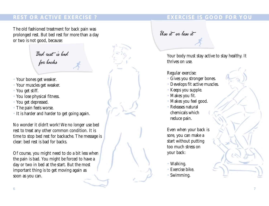# **REST OR ACTIVE EXERCISE ? EXERCISE 1S GOOD FOR YOU**

The old fashioned treatment for back pain was prolonged rest. But bed rest for more than a day or two is not good, because:

Bed rest is bad for backs

- Your bones get weaker.
- Your muscles get weaker.
- You get stiff.
- You lose physical fitness.
- You get depressed.
- The pain feels worse.
- It is harder and harder to get going again.

No wonder it didn't work! We no longer use bed rest to treat any other common condition. It is time to stop bed rest for backache. The message is clear: bed rest is bad for backs.

Of course, you might need to do a bit less when the pain is bad. You might be forced to have a day or two in bed at the start. But the most important thing is to get moving again as soon as you can.

Use it or lose it

Your body must stay active to stay healthy. It thrives on use.

#### Regular exercise:

- Gives you stronger bones.
- Develops fit active muscles.
- Keeps you supple.
- Makes you fit.
- Makes you feel good.
- Releases natural chemicals which reduce pain.

Even when your back is sore, you can make a start without putting too much stress on your back:

- Walking.
- Exercise bike.
- Swimming.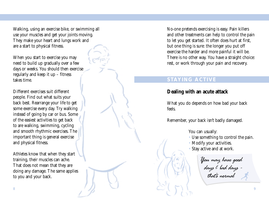Walking, using an exercise bike, or swimming all use your muscles and get your joints moving. They make your heart and lungs work and are a start to physical fitness.

When you start to exercise you may need to build up gradually over a few days or weeks. You should then exercise regularly and keep it up – fitness takes time.

Different exercises suit different people. Find out what suits your back best. Rearrange your life to get some exercise every day. Try walking instead of going by car or bus. Some of the easiest activities to get back to are walking, swimming, cycling and smooth rhythmic exercises. The important thing is general exercise and physical fitness.

Athletes know that when they start training, their muscles can ache. That does not mean that they are doing any damage. The same applies to you and your back.

No-one pretends exercising is easy. Pain killers and other treatments can help to control the pain to let you get started. It often does hurt at first, but one thing is sure: the longer you put off exercise the harder and more painful it will be. There is no other way. You have a straight choice: rest, or work through your pain and recovery.

# **STAYING ACTIVE**

### **Dealing with an acute attack**

What you do depends on how bad your back feels.

Remember, your back isn't badly damaged.

You can usually:

• Use something to control the pain.

• Modify your activities.

Stay active and at work.

You may have good days & bad days that's normal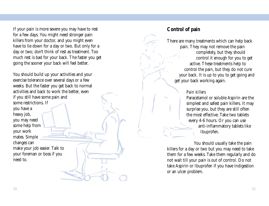If your pain is more severe you may have to rest for a few days. You might need stronger pain killers from your doctor, and you might even have to lie down for a day or two. But only for a day or two; don't think of rest as treatment. Too much rest is bad for your back. The faster you get going the sooner your back will feel better.

You should build up your activities and your exercise tolerance over several days or a few weeks. But the faster you get back to normal activities and back to work the better, even if you still have some pain and some restrictions. If you have a heavy job, you may need some help from your work mates. Simple changes can make your job easier. Talk to your foreman or boss if you need to.

# **Control of pain**

There are many treatments which can help back pain. They may not remove the pain completely, but they should control it enough for you to get active. These treatments help to control the pain, but they do not cure your back. It is up to you to get going and get your back working again.

#### *Pain killers*

Paracetamol or soluble Aspirin are the simplest and safest pain killers. It may surprise you, but they are still often the most effective. Take two tablets every 4-6 hours. Or you can use anti-inflammatory tablets like Ibuprofen.

You should usually take the pain killers for a day or two but you may need to take them for a few weeks. Take them regularly and do not wait till your pain is out of control. Do not take Aspirin or Ibuprofen if you have indigestion or an ulcer problem.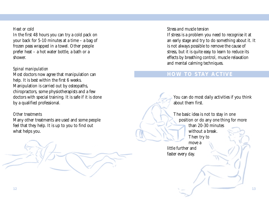#### *Heat or cold*

In the first 48 hours you can try a cold pack on your back for 5-10 minutes at a time – a bag of frozen peas wrapped in a towel. Other people prefer heat – a hot water bottle, a bath or a shower.

#### *Spinal manipulation*

Most doctors now agree that manipulation can help. It is best within the first 6 weeks. Manipulation is carried out by osteopaths, chiropractors, some physiotherapists and a few doctors with special training. It is safe if it is done by a qualified professional.

#### *Other treatments*

Many other treatments are used and some people feel that they help. It is up to you to find out what helps you.

#### *Stress and muscle tension*

If stress is a problem you need to recognise it at an early stage and try to do something about it. It is not always possible to remove the cause of stress, but it is quite easy to learn to reduce its effects by breathing control, muscle relaxation and mental calming techniques.

# **HOW TO STAY ACTIVE**

You can do most daily activities if you think about them first.

The basic idea is not to stay in one position or do any one thing for more than 20-30 minutes without a break. Then try to move a little further and faster every day.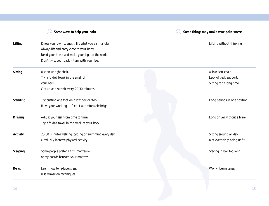| Some ways to help your pain |                                                       | Some things may make your pain worse |  |
|-----------------------------|-------------------------------------------------------|--------------------------------------|--|
| <b>Lifting</b>              | Know your own strength: lift what you can handle.     | Lifting without thinking             |  |
|                             | Always lift and carry close to your body.             |                                      |  |
|                             | Bend your knees and make your legs do the work.       |                                      |  |
|                             | Don't twist your back - turn with your feet.          |                                      |  |
| <b>Sitting</b>              | Use an upright chair.                                 | A low, soft chair.                   |  |
|                             | Try a folded towel in the small of                    | Lack of back support.                |  |
|                             | your back.                                            | Sitting for a long time.             |  |
|                             | Get up and stretch every 20-30 minutes.               |                                      |  |
| <b>Standing</b>             | Try putting one foot on a low box or stool.           | Long periods in one position.        |  |
|                             | Have your working surface at a comfortable height.    |                                      |  |
| <b>Driving</b>              | Adjust your seat from time to time.                   | Long drives without a break.         |  |
|                             | Try a folded towel in the small of your back.         |                                      |  |
| <b>Activity</b>             | 20-30 minutes walking, cycling or swimming every day. | Sitting around all day.              |  |
|                             | Gradually increase physical activity.                 | Not exercising: being unfit.         |  |
| <b>Sleeping</b>             | Some people prefer a firm mattress -                  | Staying in bed too long.             |  |
|                             | or try boards beneath your mattress.                  |                                      |  |
| Relax                       | Learn how to reduce stress.                           | Worry: being tense.                  |  |
|                             | Use relaxation techniques.                            |                                      |  |
|                             |                                                       |                                      |  |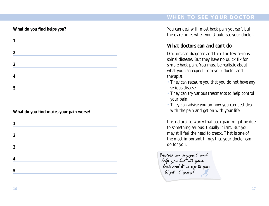# **WHEN TO SEE YOUR DOCTOR**

# **What do you find helps you?**

| 1                |  |  |  |
|------------------|--|--|--|
| $\boldsymbol{2}$ |  |  |  |
| 3                |  |  |  |
|                  |  |  |  |
| 5                |  |  |  |
|                  |  |  |  |

#### **What do you find makes your pain worse?**

| 1                |  |  |
|------------------|--|--|
|                  |  |  |
| $\boldsymbol{2}$ |  |  |
|                  |  |  |
| 3                |  |  |
|                  |  |  |
| 4                |  |  |
|                  |  |  |
| 5                |  |  |
|                  |  |  |

You can deal with most back pain yourself, but there are times when you should see your doctor.

# **What doctors can and can't do**

Doctors can diagnose and treat the few serious spinal diseases. But they have no quick fix for simple back pain. You must be realistic about what you can expect from your doctor and therapist.

- They can reassure you that you do not have any serious disease.
- They can try various treatments to help control your pain.
- They can advise you on how you can best deal with the pain and get on with your life.

It is natural to worry that back pain might be due to something serious. Usually it isn't. But you may still feel the need to check. That is one of the most important things that your doctor can do for you.

Doctors can support and help you but it's your back and it is up to you to get it going!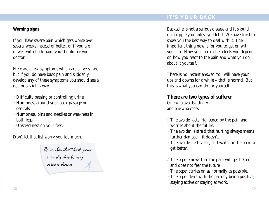# **IT'S YOUR BACK**

#### **Warning signs**

If you have severe pain which gets worse over several weeks instead of better, or if you are unwell with back pain, you should see your doctor.

Here are a few symptoms which are all very rare but if you do have back pain and suddenly develop any of these symptoms you should see a doctor straight away.

- Difficulty passing or controlling urine.
- Numbness around your back passage or genitals.
- Numbness, pins and needles or weakness in both legs.
- Unsteadiness on your feet.

Don't let that list worry you too much.

Remember that back pain is rarely due to any serious disease

Backache is not a serious disease and it should not cripple you unless you let it. We have tried to show you the best way to deal with it. The important thing now is for you to get on with your life. How your backache affects you depends on how you react to the pain and what you do about it yourself.

There is no instant answer. You will have your ups and downs for a while – that is normal. But this is what you can do for yourself.

# **There are two types of sufferer**

*One who avoids activity, and one who copes.*

- The *avoider* gets frightened by the pain and worries about the future.
- The *avoider* is afraid that hurting always means further damage – it doesn't.
- The *avoider* rests a lot, and waits for the pain to get better.
- The *coper* knows that the pain will get better and does not fear the future.
- The *coper* carries on as normally as possible.
- The *coper* deals with the pain by being positive, staying active or staying at work.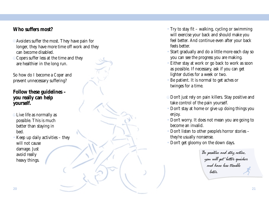# **Who suffers most?**

- *Avoiders* suffer the most. They have pain for longer, they have more time off work and they can become disabled.
- *Copers* suffer less at the time and they are healthier in the long run.

So how do I become a *Coper* and prevent unnecessary suffering?

# **Follow these guidelines – you really can help yourself.**

- Live life as normally as possible. This is much better than staying in bed.
- Keep up daily activities they will not cause damage. Just avoid really heavy things.
- Try to stay fit walking, cycling or swimming will exercise your back and should make you feel better. And continue even after your back feels better.
- Start gradually and do a little more each day so you can see the progress you are making.
- Either stay at work or go back to work as soon as possible. If necessary, ask if you can get lighter duties for a week or two.
- Be patient. It is normal to get aches or twinges for a time.
- Don't just rely on pain killers. Stay positive and take control of the pain yourself.
- Don't stay at home or give up doing things you enjoy.
- Don't worry. It does not mean you are going to become an invalid.
- Don't listen to other people's horror stories they're usually nonsense.
- Don't get gloomy on the down days.

Be positive and stay active, you will get better quicker and have less trouble later.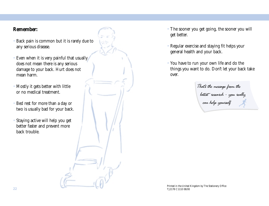# **Remember:**

- Back pain is common but it is rarely due to any serious disease.
- Even when it is very painful that usually does not mean there is any serious damage to your back. Hurt does not mean harm.
- Mostly it gets better with little or no medical treatment.
- Bed rest for more than a day or two is usually bad for your back.
- Staying active will help you get better faster and prevent more back trouble.
- The sooner you get going, the sooner you will get better.
- Regular exercise and staying fit helps your general health and your back.
- You have to run your own life and do the things you want to do. Don't let your back take over.

That's the message from the latest research - you really can help yourself

Printed in the United Kingdom by The Stationery Office TJ2178 C1110 08/00